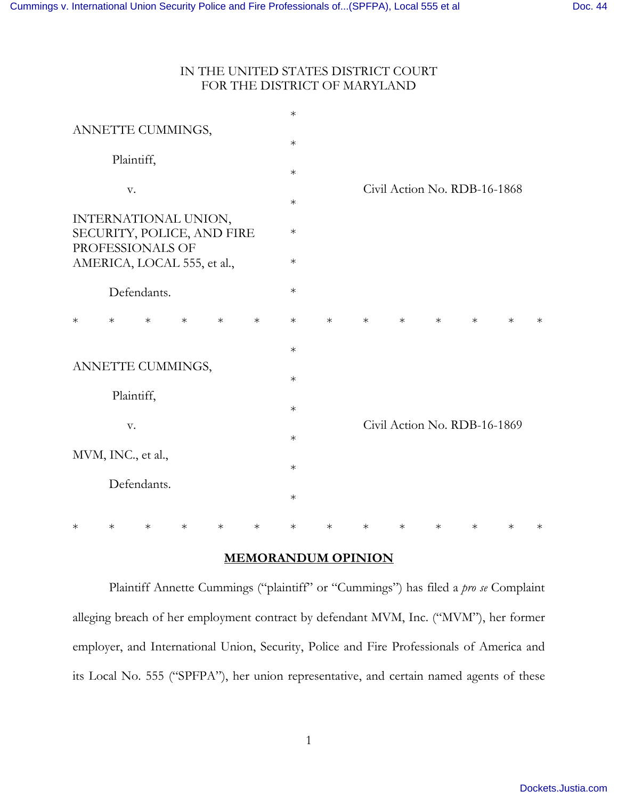# IN THE UNITED STATES DISTRICT COURT FOR THE DISTRICT OF MARYLAND

|                                                |                      |             |        |        |        | $\ast$ |        |        |        |        |                              |        |        |
|------------------------------------------------|----------------------|-------------|--------|--------|--------|--------|--------|--------|--------|--------|------------------------------|--------|--------|
|                                                | ANNETTE CUMMINGS,    |             |        |        |        | $\ast$ |        |        |        |        |                              |        |        |
|                                                |                      |             |        |        |        |        |        |        |        |        |                              |        |        |
|                                                | Plaintiff,           |             |        |        |        |        |        |        |        |        |                              |        |        |
|                                                |                      |             |        |        |        | $\ast$ |        |        |        |        |                              |        |        |
|                                                | V.                   |             |        |        |        |        |        |        |        |        | Civil Action No. RDB-16-1868 |        |        |
|                                                |                      |             |        |        |        | $\ast$ |        |        |        |        |                              |        |        |
|                                                | INTERNATIONAL UNION, |             |        |        |        |        |        |        |        |        |                              |        |        |
|                                                |                      |             |        |        |        | $\ast$ |        |        |        |        |                              |        |        |
| SECURITY, POLICE, AND FIRE<br>PROFESSIONALS OF |                      |             |        |        |        |        |        |        |        |        |                              |        |        |
|                                                |                      |             |        |        |        | $\ast$ |        |        |        |        |                              |        |        |
| AMERICA, LOCAL 555, et al.,                    |                      |             |        |        |        |        |        |        |        |        |                              |        |        |
|                                                |                      |             |        |        |        |        |        |        |        |        |                              |        |        |
|                                                |                      | Defendants. |        |        |        | $\ast$ |        |        |        |        |                              |        |        |
|                                                |                      |             |        |        |        |        |        |        |        |        |                              |        |        |
| $\ast$                                         | $\ast$               | $\ast$      | $\ast$ | $\ast$ | $\ast$ | $\ast$ | $\ast$ | $\ast$ | $\ast$ | $\ast$ | $\ast$                       | $\ast$ | $\ast$ |
|                                                |                      |             |        |        |        |        |        |        |        |        |                              |        |        |
|                                                |                      |             |        |        |        | $\ast$ |        |        |        |        |                              |        |        |
|                                                |                      |             |        |        |        |        |        |        |        |        |                              |        |        |
| ANNETTE CUMMINGS,                              |                      |             |        |        |        |        |        |        |        |        |                              |        |        |
|                                                |                      |             |        |        |        | $\ast$ |        |        |        |        |                              |        |        |
|                                                | Plaintiff,           |             |        |        |        |        |        |        |        |        |                              |        |        |
|                                                |                      |             |        |        |        | $\ast$ |        |        |        |        |                              |        |        |
|                                                | V.                   |             |        |        |        |        |        |        |        |        | Civil Action No. RDB-16-1869 |        |        |
|                                                |                      |             |        |        |        | $\ast$ |        |        |        |        |                              |        |        |
|                                                | MVM, INC., et al.,   |             |        |        |        |        |        |        |        |        |                              |        |        |
|                                                |                      |             |        |        |        | $\ast$ |        |        |        |        |                              |        |        |
|                                                |                      |             |        |        |        |        |        |        |        |        |                              |        |        |
|                                                |                      | Defendants. |        |        |        |        |        |        |        |        |                              |        |        |
|                                                |                      |             |        |        |        | $\ast$ |        |        |        |        |                              |        |        |
|                                                |                      |             |        |        |        |        |        |        |        |        |                              |        |        |
| $\ast$                                         | $\ast$               | $\ast$      | $\ast$ | $\ast$ | $\ast$ | $\ast$ | $\ast$ | $\ast$ | $\ast$ | $\ast$ | $\ast$                       | $\ast$ | $\ast$ |

# **MEMORANDUM OPINION**

 Plaintiff Annette Cummings ("plaintiff" or "Cummings") has filed a *pro se* Complaint alleging breach of her employment contract by defendant MVM, Inc. ("MVM"), her former employer, and International Union, Security, Police and Fire Professionals of America and its Local No. 555 ("SPFPA"), her union representative, and certain named agents of these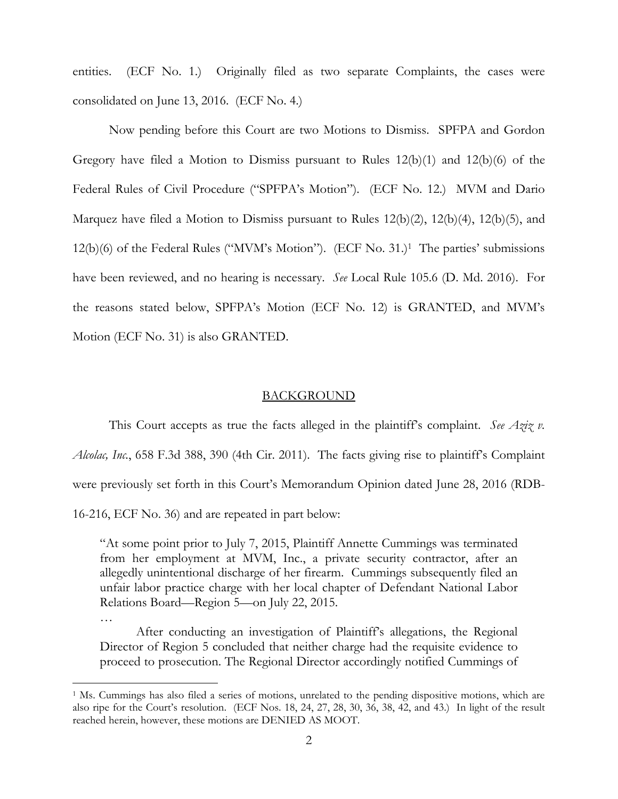entities. (ECF No. 1.) Originally filed as two separate Complaints, the cases were consolidated on June 13, 2016. (ECF No. 4.)

Now pending before this Court are two Motions to Dismiss. SPFPA and Gordon Gregory have filed a Motion to Dismiss pursuant to Rules  $12(b)(1)$  and  $12(b)(6)$  of the Federal Rules of Civil Procedure ("SPFPA's Motion"). (ECF No. 12.) MVM and Dario Marquez have filed a Motion to Dismiss pursuant to Rules 12(b)(2), 12(b)(4), 12(b)(5), and 12(b)(6) of the Federal Rules ("MVM's Motion"). (ECF No. 31.)<sup>1</sup> The parties' submissions have been reviewed, and no hearing is necessary. *See* Local Rule 105.6 (D. Md. 2016). For the reasons stated below, SPFPA's Motion (ECF No. 12) is GRANTED, and MVM's Motion (ECF No. 31) is also GRANTED.

### BACKGROUND

This Court accepts as true the facts alleged in the plaintiff's complaint. See Aziz v. *Alcolac, Inc.*, 658 F.3d 388, 390 (4th Cir. 2011). The facts giving rise to plaintiff's Complaint were previously set forth in this Court's Memorandum Opinion dated June 28, 2016 (RDB-16-216, ECF No. 36) and are repeated in part below:

"At some point prior to July 7, 2015, Plaintiff Annette Cummings was terminated from her employment at MVM, Inc., a private security contractor, after an allegedly unintentional discharge of her firearm. Cummings subsequently filed an unfair labor practice charge with her local chapter of Defendant National Labor Relations Board—Region 5—on July 22, 2015.

After conducting an investigation of Plaintiff's allegations, the Regional Director of Region 5 concluded that neither charge had the requisite evidence to proceed to prosecution. The Regional Director accordingly notified Cummings of

…

<u>.</u>

<sup>&</sup>lt;sup>1</sup> Ms. Cummings has also filed a series of motions, unrelated to the pending dispositive motions, which are also ripe for the Court's resolution. (ECF Nos. 18, 24, 27, 28, 30, 36, 38, 42, and 43.) In light of the result reached herein, however, these motions are DENIED AS MOOT.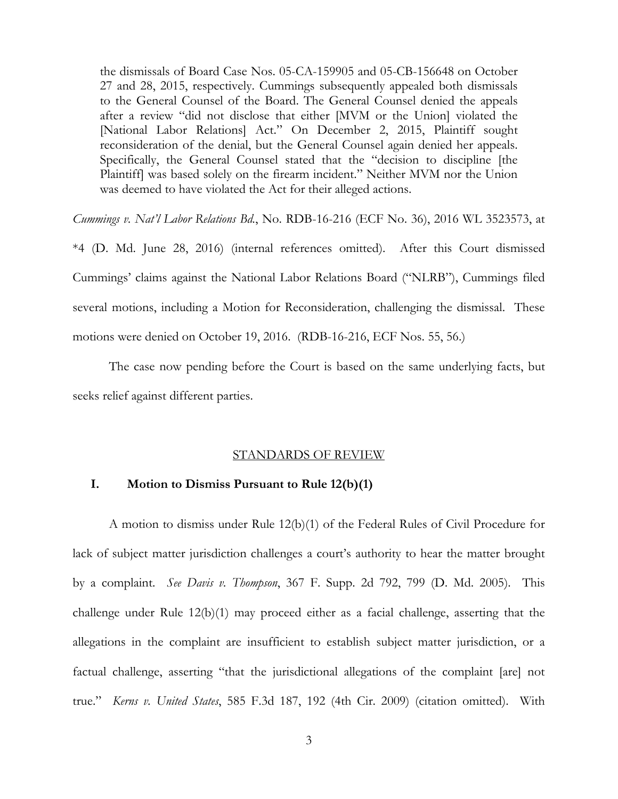the dismissals of Board Case Nos. 05-CA-159905 and 05-CB-156648 on October 27 and 28, 2015, respectively. Cummings subsequently appealed both dismissals to the General Counsel of the Board. The General Counsel denied the appeals after a review "did not disclose that either [MVM or the Union] violated the [National Labor Relations] Act." On December 2, 2015, Plaintiff sought reconsideration of the denial, but the General Counsel again denied her appeals. Specifically, the General Counsel stated that the "decision to discipline [the Plaintiff] was based solely on the firearm incident." Neither MVM nor the Union was deemed to have violated the Act for their alleged actions.

*Cummings v. Nat'l Labor Relations Bd.*, No. RDB-16-216 (ECF No. 36), 2016 WL 3523573, at

\*4 (D. Md. June 28, 2016) (internal references omitted). After this Court dismissed Cummings' claims against the National Labor Relations Board ("NLRB"), Cummings filed several motions, including a Motion for Reconsideration, challenging the dismissal. These motions were denied on October 19, 2016. (RDB-16-216, ECF Nos. 55, 56.)

The case now pending before the Court is based on the same underlying facts, but seeks relief against different parties.

#### STANDARDS OF REVIEW

## **I. Motion to Dismiss Pursuant to Rule 12(b)(1)**

A motion to dismiss under Rule 12(b)(1) of the Federal Rules of Civil Procedure for lack of subject matter jurisdiction challenges a court's authority to hear the matter brought by a complaint. *See Davis v. Thompson*, 367 F. Supp. 2d 792, 799 (D. Md. 2005). This challenge under Rule 12(b)(1) may proceed either as a facial challenge, asserting that the allegations in the complaint are insufficient to establish subject matter jurisdiction, or a factual challenge, asserting "that the jurisdictional allegations of the complaint [are] not true." *Kerns v. United States*, 585 F.3d 187, 192 (4th Cir. 2009) (citation omitted). With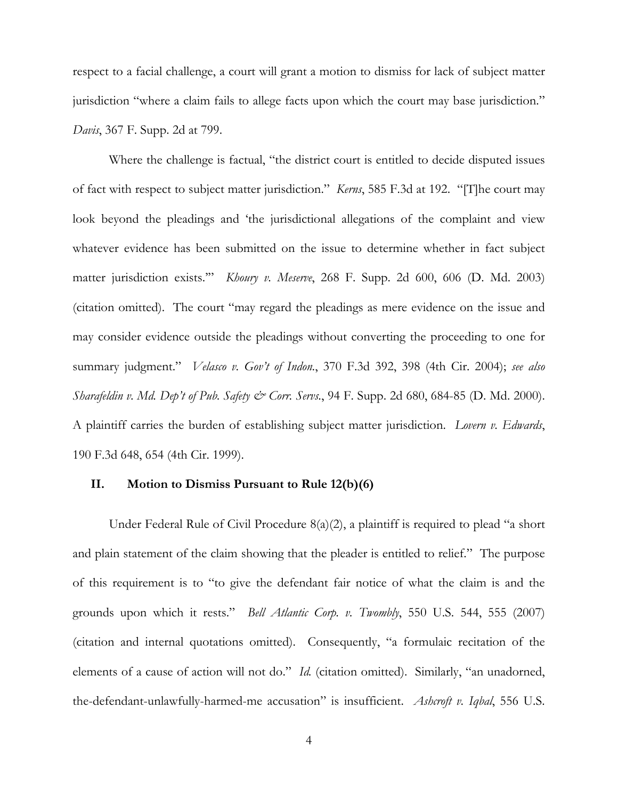respect to a facial challenge, a court will grant a motion to dismiss for lack of subject matter jurisdiction "where a claim fails to allege facts upon which the court may base jurisdiction." *Davis*, 367 F. Supp. 2d at 799.

Where the challenge is factual, "the district court is entitled to decide disputed issues of fact with respect to subject matter jurisdiction." *Kerns*, 585 F.3d at 192. "[T]he court may look beyond the pleadings and 'the jurisdictional allegations of the complaint and view whatever evidence has been submitted on the issue to determine whether in fact subject matter jurisdiction exists.'" *Khoury v. Meserve*, 268 F. Supp. 2d 600, 606 (D. Md. 2003) (citation omitted). The court "may regard the pleadings as mere evidence on the issue and may consider evidence outside the pleadings without converting the proceeding to one for summary judgment." *Velasco v. Gov't of Indon.*, 370 F.3d 392, 398 (4th Cir. 2004); *see also Sharafeldin v. Md. Dep't of Pub. Safety & Corr. Servs.*, 94 F. Supp. 2d 680, 684-85 (D. Md. 2000). A plaintiff carries the burden of establishing subject matter jurisdiction. *Lovern v. Edwards*, 190 F.3d 648, 654 (4th Cir. 1999).

### **II. Motion to Dismiss Pursuant to Rule 12(b)(6)**

Under Federal Rule of Civil Procedure 8(a)(2), a plaintiff is required to plead "a short and plain statement of the claim showing that the pleader is entitled to relief." The purpose of this requirement is to "to give the defendant fair notice of what the claim is and the grounds upon which it rests." *Bell Atlantic Corp. v. Twombly*, 550 U.S. 544, 555 (2007) (citation and internal quotations omitted). Consequently, "a formulaic recitation of the elements of a cause of action will not do." *Id.* (citation omitted). Similarly, "an unadorned, the-defendant-unlawfully-harmed-me accusation" is insufficient. *Ashcroft v. Iqbal*, 556 U.S.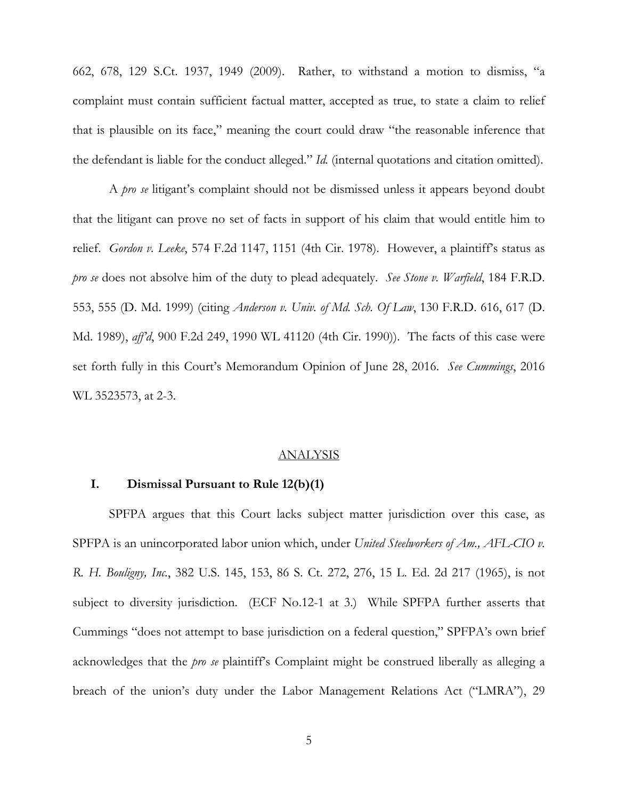662, 678, 129 S.Ct. 1937, 1949 (2009). Rather, to withstand a motion to dismiss, "a complaint must contain sufficient factual matter, accepted as true, to state a claim to relief that is plausible on its face," meaning the court could draw "the reasonable inference that the defendant is liable for the conduct alleged." *Id.* (internal quotations and citation omitted).

A *pro se* litigant's complaint should not be dismissed unless it appears beyond doubt that the litigant can prove no set of facts in support of his claim that would entitle him to relief. *Gordon v. Leeke*, 574 F.2d 1147, 1151 (4th Cir. 1978). However, a plaintiff's status as *pro se* does not absolve him of the duty to plead adequately. *See Stone v. Warfield*, 184 F.R.D. 553, 555 (D. Md. 1999) (citing *Anderson v. Univ. of Md. Sch. Of Law*, 130 F.R.D. 616, 617 (D. Md. 1989), *aff'd*, 900 F.2d 249, 1990 WL 41120 (4th Cir. 1990)). The facts of this case were set forth fully in this Court's Memorandum Opinion of June 28, 2016. *See Cummings*, 2016 WL 3523573, at 2-3.

#### ANALYSIS

### **I. Dismissal Pursuant to Rule 12(b)(1)**

SPFPA argues that this Court lacks subject matter jurisdiction over this case, as SPFPA is an unincorporated labor union which, under *United Steelworkers of Am., AFL-CIO v. R. H. Bouligny, Inc.*, 382 U.S. 145, 153, 86 S. Ct. 272, 276, 15 L. Ed. 2d 217 (1965), is not subject to diversity jurisdiction. (ECF No.12-1 at 3.) While SPFPA further asserts that Cummings "does not attempt to base jurisdiction on a federal question," SPFPA's own brief acknowledges that the *pro se* plaintiff's Complaint might be construed liberally as alleging a breach of the union's duty under the Labor Management Relations Act ("LMRA"), 29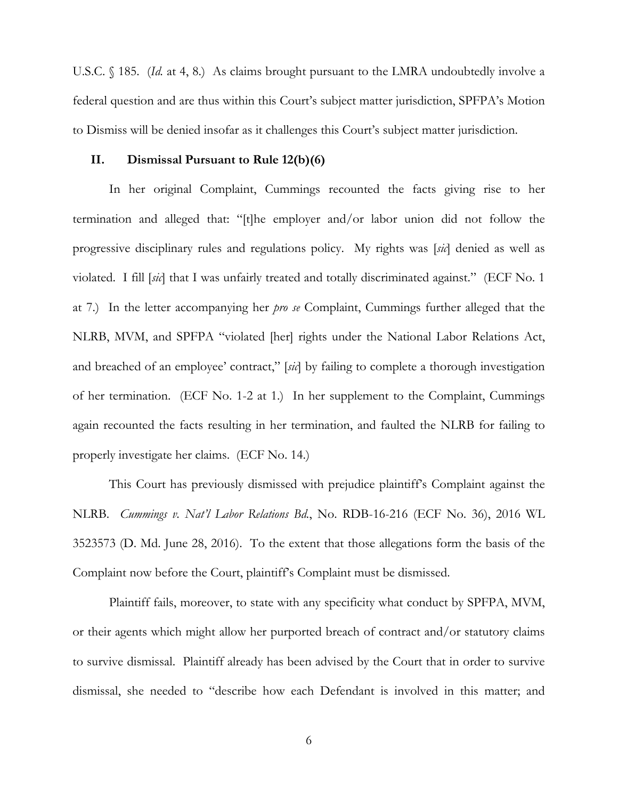U.S.C. § 185. *(Id.* at 4, 8.) As claims brought pursuant to the LMRA undoubtedly involve a federal question and are thus within this Court's subject matter jurisdiction, SPFPA's Motion to Dismiss will be denied insofar as it challenges this Court's subject matter jurisdiction.

### **II. Dismissal Pursuant to Rule 12(b)(6)**

In her original Complaint, Cummings recounted the facts giving rise to her termination and alleged that: "[t]he employer and/or labor union did not follow the progressive disciplinary rules and regulations policy. My rights was [*sic*] denied as well as violated. I fill [*sic*] that I was unfairly treated and totally discriminated against." (ECF No. 1 at 7.) In the letter accompanying her *pro se* Complaint, Cummings further alleged that the NLRB, MVM, and SPFPA "violated [her] rights under the National Labor Relations Act, and breached of an employee' contract," [*sic*] by failing to complete a thorough investigation of her termination. (ECF No. 1-2 at 1.) In her supplement to the Complaint, Cummings again recounted the facts resulting in her termination, and faulted the NLRB for failing to properly investigate her claims. (ECF No. 14.)

This Court has previously dismissed with prejudice plaintiff's Complaint against the NLRB. *Cummings v. Nat'l Labor Relations Bd.*, No. RDB-16-216 (ECF No. 36), 2016 WL 3523573 (D. Md. June 28, 2016). To the extent that those allegations form the basis of the Complaint now before the Court, plaintiff's Complaint must be dismissed.

Plaintiff fails, moreover, to state with any specificity what conduct by SPFPA, MVM, or their agents which might allow her purported breach of contract and/or statutory claims to survive dismissal. Plaintiff already has been advised by the Court that in order to survive dismissal, she needed to "describe how each Defendant is involved in this matter; and